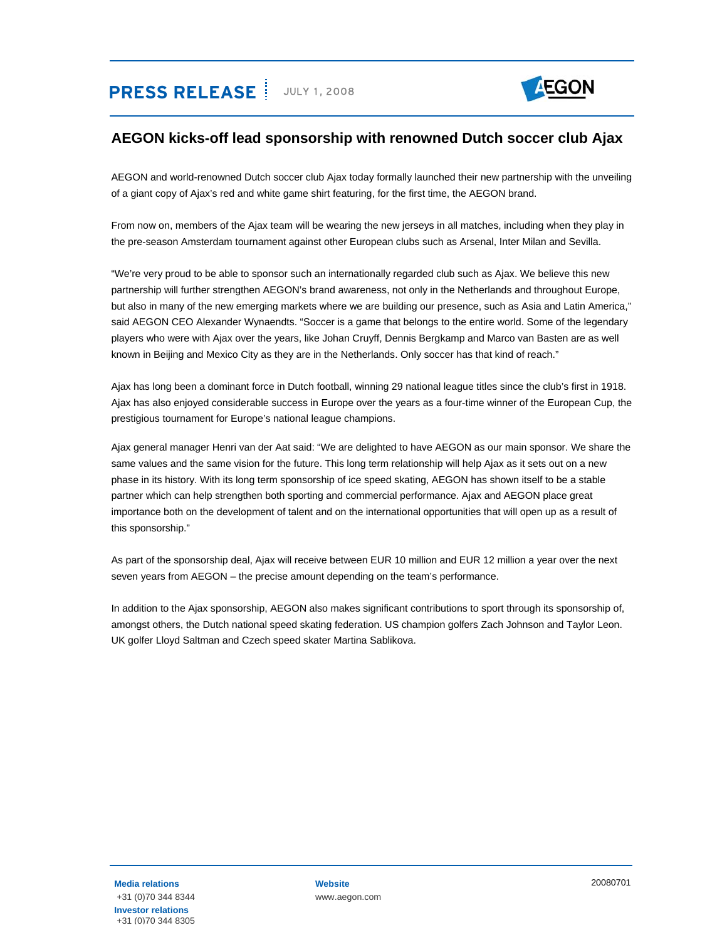# **PRESS RELEASE** JULY 1, 2008



## **AEGON kicks-off lead sponsorship with renowned Dutch soccer club Ajax**

AEGON and world-renowned Dutch soccer club Ajax today formally launched their new partnership with the unveiling of a giant copy of Ajax's red and white game shirt featuring, for the first time, the AEGON brand.

From now on, members of the Ajax team will be wearing the new jerseys in all matches, including when they play in the pre-season Amsterdam tournament against other European clubs such as Arsenal, Inter Milan and Sevilla.

"We're very proud to be able to sponsor such an internationally regarded club such as Ajax. We believe this new partnership will further strengthen AEGON's brand awareness, not only in the Netherlands and throughout Europe, but also in many of the new emerging markets where we are building our presence, such as Asia and Latin America," said AEGON CEO Alexander Wynaendts. "Soccer is a game that belongs to the entire world. Some of the legendary players who were with Ajax over the years, like Johan Cruyff, Dennis Bergkamp and Marco van Basten are as well known in Beijing and Mexico City as they are in the Netherlands. Only soccer has that kind of reach."

Ajax has long been a dominant force in Dutch football, winning 29 national league titles since the club's first in 1918. Ajax has also enjoyed considerable success in Europe over the years as a four-time winner of the European Cup, the prestigious tournament for Europe's national league champions.

Ajax general manager Henri van der Aat said: "We are delighted to have AEGON as our main sponsor. We share the same values and the same vision for the future. This long term relationship will help Ajax as it sets out on a new phase in its history. With its long term sponsorship of ice speed skating, AEGON has shown itself to be a stable partner which can help strengthen both sporting and commercial performance. Ajax and AEGON place great importance both on the development of talent and on the international opportunities that will open up as a result of this sponsorship."

As part of the sponsorship deal, Ajax will receive between EUR 10 million and EUR 12 million a year over the next seven years from AEGON – the precise amount depending on the team's performance.

In addition to the Ajax sponsorship, AEGON also makes significant contributions to sport through its sponsorship of, amongst others, the Dutch national speed skating federation. US champion golfers Zach Johnson and Taylor Leon. UK golfer Lloyd Saltman and Czech speed skater Martina Sablikova.